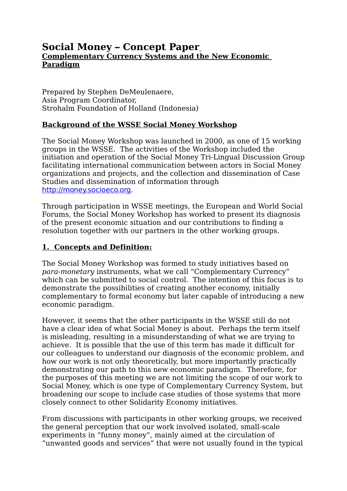# **Social Money – Concept Paper Complementary Currency Systems and the New Economic Paradigm**

Prepared by Stephen DeMeulenaere, Asia Program Coordinator, Strohalm Foundation of Holland (Indonesia)

## **Background of the WSSE Social Money Workshop**

The Social Money Workshop was launched in 2000, as one of 15 working groups in the WSSE. The activities of the Workshop included the initiation and operation of the Social Money Tri-Lingual Discussion Group facilitating international communication between actors in Social Money organizations and projects, and the collection and dissemination of Case Studies and dissemination of information through [http://money.socioeco.org](http://money.socioeco.org/).

Through participation in WSSE meetings, the European and World Social Forums, the Social Money Workshop has worked to present its diagnosis of the present economic situation and our contributions to finding a resolution together with our partners in the other working groups.

## **1. Concepts and Definition:**

The Social Money Workshop was formed to study initiatives based on para-monetary instruments, what we call "Complementary Currency" which can be submitted to social control. The intention of this focus is to demonstrate the possibilities of creating another economy, initially complementary to formal economy but later capable of introducing a new economic paradigm.

However, it seems that the other participants in the WSSE still do not have a clear idea of what Social Money is about. Perhaps the term itself is misleading, resulting in a misunderstanding of what we are trying to achieve. It is possible that the use of this term has made it difficult for our colleagues to understand our diagnosis of the economic problem, and how our work is not only theoretically, but more importantly practically demonstrating our path to this new economic paradigm. Therefore, for the purposes of this meeting we are not limiting the scope of our work to Social Money, which is one type of Complementary Currency System, but broadening our scope to include case studies of those systems that more closely connect to other Solidarity Economy initiatives.

From discussions with participants in other working groups, we received the general perception that our work involved isolated, small-scale experiments in "funny money", mainly aimed at the circulation of "unwanted goods and services" that were not usually found in the typical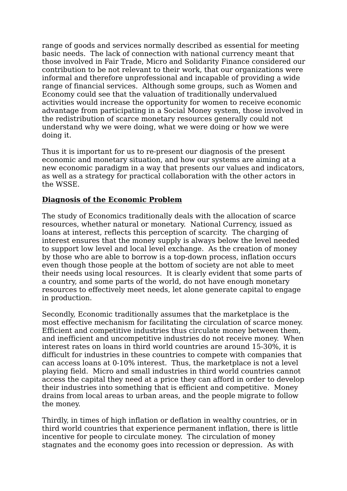range of goods and services normally described as essential for meeting basic needs. The lack of connection with national currency meant that those involved in Fair Trade, Micro and Solidarity Finance considered our contribution to be not relevant to their work, that our organizations were informal and therefore unprofessional and incapable of providing a wide range of financial services. Although some groups, such as Women and Economy could see that the valuation of traditionally undervalued activities would increase the opportunity for women to receive economic advantage from participating in a Social Money system, those involved in the redistribution of scarce monetary resources generally could not understand why we were doing, what we were doing or how we were doing it.

Thus it is important for us to re-present our diagnosis of the present economic and monetary situation, and how our systems are aiming at a new economic paradigm in a way that presents our values and indicators, as well as a strategy for practical collaboration with the other actors in the WSSE.

### **Diagnosis of the Economic Problem**

The study of Economics traditionally deals with the allocation of scarce resources, whether natural or monetary. National Currency, issued as loans at interest, reflects this perception of scarcity. The charging of interest ensures that the money supply is always below the level needed to support low level and local level exchange. As the creation of money by those who are able to borrow is a top-down process, inflation occurs even though those people at the bottom of society are not able to meet their needs using local resources. It is clearly evident that some parts of a country, and some parts of the world, do not have enough monetary resources to effectively meet needs, let alone generate capital to engage in production.

Secondly, Economic traditionally assumes that the marketplace is the most effective mechanism for facilitating the circulation of scarce money. Efficient and competitive industries thus circulate money between them, and inefficient and uncompetitive industries do not receive money. When interest rates on loans in third world countries are around 15-30%, it is difficult for industries in these countries to compete with companies that can access loans at 0-10% interest. Thus, the marketplace is not a level playing field. Micro and small industries in third world countries cannot access the capital they need at a price they can afford in order to develop their industries into something that is efficient and competitive. Money drains from local areas to urban areas, and the people migrate to follow the money.

Thirdly, in times of high inflation or deflation in wealthy countries, or in third world countries that experience permanent inflation, there is little incentive for people to circulate money. The circulation of money stagnates and the economy goes into recession or depression. As with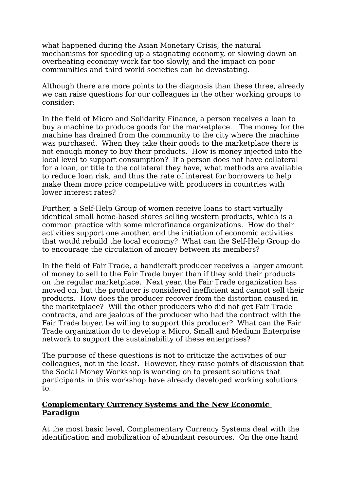what happened during the Asian Monetary Crisis, the natural mechanisms for speeding up a stagnating economy, or slowing down an overheating economy work far too slowly, and the impact on poor communities and third world societies can be devastating.

Although there are more points to the diagnosis than these three, already we can raise questions for our colleagues in the other working groups to consider:

In the field of Micro and Solidarity Finance, a person receives a loan to buy a machine to produce goods for the marketplace. The money for the machine has drained from the community to the city where the machine was purchased. When they take their goods to the marketplace there is not enough money to buy their products. How is money injected into the local level to support consumption? If a person does not have collateral for a loan, or title to the collateral they have, what methods are available to reduce loan risk, and thus the rate of interest for borrowers to help make them more price competitive with producers in countries with lower interest rates?

Further, a Self-Help Group of women receive loans to start virtually identical small home-based stores selling western products, which is a common practice with some microfinance organizations. How do their activities support one another, and the initiation of economic activities that would rebuild the local economy? What can the Self-Help Group do to encourage the circulation of money between its members?

In the field of Fair Trade, a handicraft producer receives a larger amount of money to sell to the Fair Trade buyer than if they sold their products on the regular marketplace. Next year, the Fair Trade organization has moved on, but the producer is considered inefficient and cannot sell their products. How does the producer recover from the distortion caused in the marketplace? Will the other producers who did not get Fair Trade contracts, and are jealous of the producer who had the contract with the Fair Trade buyer, be willing to support this producer? What can the Fair Trade organization do to develop a Micro, Small and Medium Enterprise network to support the sustainability of these enterprises?

The purpose of these questions is not to criticize the activities of our colleagues, not in the least. However, they raise points of discussion that the Social Money Workshop is working on to present solutions that participants in this workshop have already developed working solutions to.

### **Complementary Currency Systems and the New Economic Paradigm**

At the most basic level, Complementary Currency Systems deal with the identification and mobilization of abundant resources. On the one hand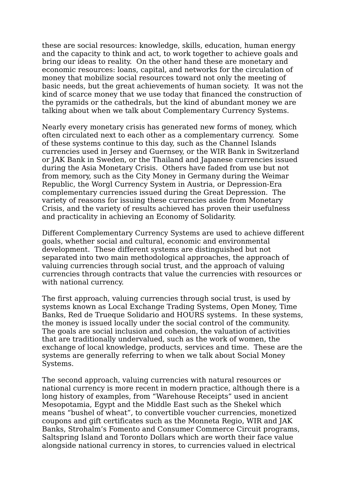these are social resources: knowledge, skills, education, human energy and the capacity to think and act, to work together to achieve goals and bring our ideas to reality. On the other hand these are monetary and economic resources: loans, capital, and networks for the circulation of money that mobilize social resources toward not only the meeting of basic needs, but the great achievements of human society. It was not the kind of scarce money that we use today that financed the construction of the pyramids or the cathedrals, but the kind of abundant money we are talking about when we talk about Complementary Currency Systems.

Nearly every monetary crisis has generated new forms of money, which often circulated next to each other as a complementary currency. Some of these systems continue to this day, such as the Channel Islands currencies used in Jersey and Guernsey, or the WIR Bank in Switzerland or JAK Bank in Sweden, or the Thailand and Japanese currencies issued during the Asia Monetary Crisis. Others have faded from use but not from memory, such as the City Money in Germany during the Weimar Republic, the Worgl Currency System in Austria, or Depression-Era complementary currencies issued during the Great Depression. The variety of reasons for issuing these currencies aside from Monetary Crisis, and the variety of results achieved has proven their usefulness and practicality in achieving an Economy of Solidarity.

Different Complementary Currency Systems are used to achieve different goals, whether social and cultural, economic and environmental development. These different systems are distinguished but not separated into two main methodological approaches, the approach of valuing currencies through social trust, and the approach of valuing currencies through contracts that value the currencies with resources or with national currency.

The first approach, valuing currencies through social trust, is used by systems known as Local Exchange Trading Systems, Open Money, Time Banks, Red de Trueque Solidario and HOURS systems. In these systems, the money is issued locally under the social control of the community. The goals are social inclusion and cohesion, the valuation of activities that are traditionally undervalued, such as the work of women, the exchange of local knowledge, products, services and time. These are the systems are generally referring to when we talk about Social Money Systems.

The second approach, valuing currencies with natural resources or national currency is more recent in modern practice, although there is a long history of examples, from "Warehouse Receipts" used in ancient Mesopotamia, Egypt and the Middle East such as the Shekel which means "bushel of wheat", to convertible voucher currencies, monetized coupons and gift certificates such as the Monneta Regio, WIR and JAK Banks, Strohalm's Fomento and Consumer Commerce Circuit programs, Saltspring Island and Toronto Dollars which are worth their face value alongside national currency in stores, to currencies valued in electrical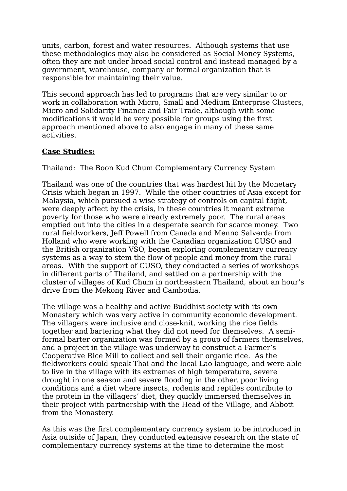units, carbon, forest and water resources. Although systems that use these methodologies may also be considered as Social Money Systems, often they are not under broad social control and instead managed by a government, warehouse, company or formal organization that is responsible for maintaining their value.

This second approach has led to programs that are very similar to or work in collaboration with Micro, Small and Medium Enterprise Clusters, Micro and Solidarity Finance and Fair Trade, although with some modifications it would be very possible for groups using the first approach mentioned above to also engage in many of these same activities.

### **Case Studies:**

Thailand: The Boon Kud Chum Complementary Currency System

Thailand was one of the countries that was hardest hit by the Monetary Crisis which began in 1997. While the other countries of Asia except for Malaysia, which pursued a wise strategy of controls on capital flight, were deeply affect by the crisis, in these countries it meant extreme poverty for those who were already extremely poor. The rural areas emptied out into the cities in a desperate search for scarce money. Two rural fieldworkers, Jeff Powell from Canada and Menno Salverda from Holland who were working with the Canadian organization CUSO and the British organization VSO, began exploring complementary currency systems as a way to stem the flow of people and money from the rural areas. With the support of CUSO, they conducted a series of workshops in different parts of Thailand, and settled on a partnership with the cluster of villages of Kud Chum in northeastern Thailand, about an hour's drive from the Mekong River and Cambodia.

The village was a healthy and active Buddhist society with its own Monastery which was very active in community economic development. The villagers were inclusive and close-knit, working the rice fields together and bartering what they did not need for themselves. A semiformal barter organization was formed by a group of farmers themselves, and a project in the village was underway to construct a Farmer's Cooperative Rice Mill to collect and sell their organic rice. As the fieldworkers could speak Thai and the local Lao language, and were able to live in the village with its extremes of high temperature, severe drought in one season and severe flooding in the other, poor living conditions and a diet where insects, rodents and reptiles contribute to the protein in the villagers' diet, they quickly immersed themselves in their project with partnership with the Head of the Village, and Abbott from the Monastery.

As this was the first complementary currency system to be introduced in Asia outside of Japan, they conducted extensive research on the state of complementary currency systems at the time to determine the most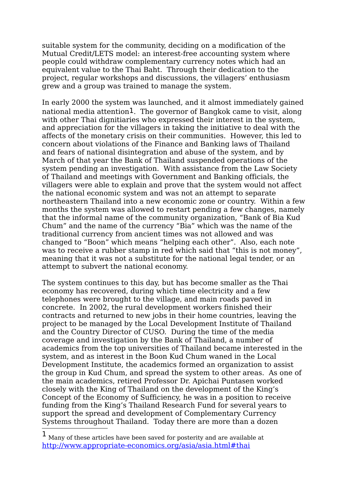suitable system for the community, deciding on a modification of the Mutual Credit/LETS model: an interest-free accounting system where people could withdraw complementary currency notes which had an equivalent value to the Thai Baht. Through their dedication to the project, regular workshops and discussions, the villagers' enthusiasm grew and a group was trained to manage the system.

In early 2000 the system was launched, and it almost immediately gained national media attention[1](#page-5-0). The governor of Bangkok came to visit, along with other Thai dignitiaries who expressed their interest in the system. and appreciation for the villagers in taking the initiative to deal with the affects of the monetary crisis on their communities. However, this led to concern about violations of the Finance and Banking laws of Thailand and fears of national disintegration and abuse of the system, and by March of that year the Bank of Thailand suspended operations of the system pending an investigation. With assistance from the Law Society of Thailand and meetings with Government and Banking officials, the villagers were able to explain and prove that the system would not affect the national economic system and was not an attempt to separate northeastern Thailand into a new economic zone or country. Within a few months the system was allowed to restart pending a few changes, namely that the informal name of the community organization, "Bank of Bia Kud Chum" and the name of the currency "Bia" which was the name of the traditional currency from ancient times was not allowed and was changed to "Boon" which means "helping each other". Also, each note was to receive a rubber stamp in red which said that "this is not money", meaning that it was not a substitute for the national legal tender, or an attempt to subvert the national economy.

The system continues to this day, but has become smaller as the Thai economy has recovered, during which time electricity and a few telephones were brought to the village, and main roads paved in concrete. In 2002, the rural development workers finished their contracts and returned to new jobs in their home countries, leaving the project to be managed by the Local Development Institute of Thailand and the Country Director of CUSO. During the time of the media coverage and investigation by the Bank of Thailand, a number of academics from the top universities of Thailand became interested in the system, and as interest in the Boon Kud Chum waned in the Local Development Institute, the academics formed an organization to assist the group in Kud Chum, and spread the system to other areas. As one of the main academics, retired Professor Dr. Apichai Puntasen worked closely with the King of Thailand on the development of the King's Concept of the Economy of Sufficiency, he was in a position to receive funding from the King's Thailand Research Fund for several years to support the spread and development of Complementary Currency Systems throughout Thailand. Today there are more than a dozen

<span id="page-5-0"></span> $1$  Many of these articles have been saved for posterity and are available at [http://www.appropriate-economics.org/asia/asia.html#thai](http://www.appropriate-economics.org/asia/asia.html#hai)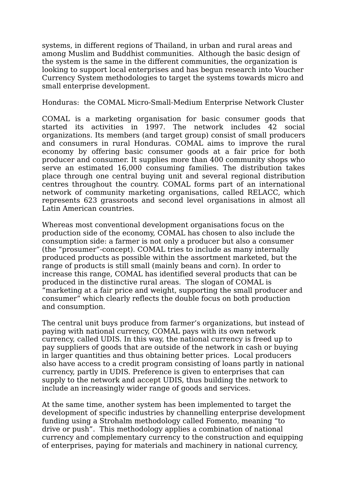systems, in different regions of Thailand, in urban and rural areas and among Muslim and Buddhist communities. Although the basic design of the system is the same in the different communities, the organization is looking to support local enterprises and has begun research into Voucher Currency System methodologies to target the systems towards micro and small enterprise development.

Honduras: the COMAL Micro-Small-Medium Enterprise Network Cluster

COMAL is a marketing organisation for basic consumer goods that started its activities in 1997. The network includes 42 social organizations. Its members (and target group) consist of small producers and consumers in rural Honduras. COMAL aims to improve the rural economy by offering basic consumer goods at a fair price for both producer and consumer. It supplies more than 400 community shops who serve an estimated 16,000 consuming families. The distribution takes place through one central buying unit and several regional distribution centres throughout the country. COMAL forms part of an international network of community marketing organisations, called RELACC, which represents 623 grassroots and second level organisations in almost all Latin American countries.

Whereas most conventional development organisations focus on the production side of the economy, COMAL has chosen to also include the consumption side: a farmer is not only a producer but also a consumer (the "prosumer"-concept). COMAL tries to include as many internally produced products as possible within the assortment marketed, but the range of products is still small (mainly beans and corn). In order to increase this range, COMAL has identified several products that can be produced in the distinctive rural areas. The slogan of COMAL is "marketing at a fair price and weight, supporting the small producer and consumer" which clearly reflects the double focus on both production and consumption.

The central unit buys produce from farmer's organizations, but instead of paying with national currency, COMAL pays with its own network currency, called UDIS. In this way, the national currency is freed up to pay suppliers of goods that are outside of the network in cash or buying in larger quantities and thus obtaining better prices. Local producers also have access to a credit program consisting of loans partly in national currency, partly in UDIS. Preference is given to enterprises that can supply to the network and accept UDIS, thus building the network to include an increasingly wider range of goods and services.

At the same time, another system has been implemented to target the development of specific industries by channelling enterprise development funding using a Strohalm methodology called Fomento, meaning "to drive or push". This methodology applies a combination of national currency and complementary currency to the construction and equipping of enterprises, paying for materials and machinery in national currency,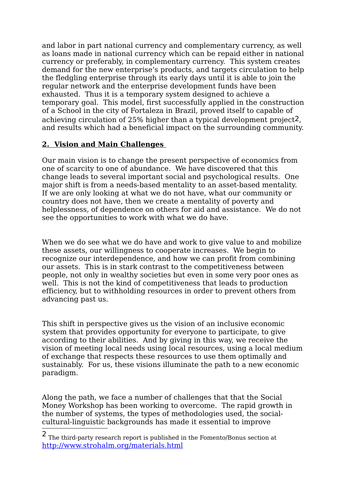and labor in part national currency and complementary currency, as well as loans made in national currency which can be repaid either in national currency or preferably, in complementary currency. This system creates demand for the new enterprise's products, and targets circulation to help the fledgling enterprise through its early days until it is able to join the regular network and the enterprise development funds have been exhausted. Thus it is a temporary system designed to achieve a temporary goal. This model, first successfully applied in the construction of a School in the city of Fortaleza in Brazil, proved itself to capable of achieving circulation of 25% higher than a typical development project[2](#page-7-0), and results which had a beneficial impact on the surrounding community.

### **2. Vision and Main Challenges**

Our main vision is to change the present perspective of economics from one of scarcity to one of abundance. We have discovered that this change leads to several important social and psychological results. One major shift is from a needs-based mentality to an asset-based mentality. If we are only looking at what we do not have, what our community or country does not have, then we create a mentality of poverty and helplessness, of dependence on others for aid and assistance. We do not see the opportunities to work with what we do have.

When we do see what we do have and work to give value to and mobilize these assets, our willingness to cooperate increases. We begin to recognize our interdependence, and how we can profit from combining our assets. This is in stark contrast to the competitiveness between people, not only in wealthy societies but even in some very poor ones as well. This is not the kind of competitiveness that leads to production efficiency, but to withholding resources in order to prevent others from advancing past us.

This shift in perspective gives us the vision of an inclusive economic system that provides opportunity for everyone to participate, to give according to their abilities. And by giving in this way, we receive the vision of meeting local needs using local resources, using a local medium of exchange that respects these resources to use them optimally and sustainably. For us, these visions illuminate the path to a new economic paradigm.

Along the path, we face a number of challenges that that the Social Money Workshop has been working to overcome. The rapid growth in the number of systems, the types of methodologies used, the socialcultural-linguistic backgrounds has made it essential to improve

<span id="page-7-0"></span> $\overline{\textbf{2}}$  The third-party research report is published in the Fomento/Bonus section at <http://www.strohalm.org/materials.html>